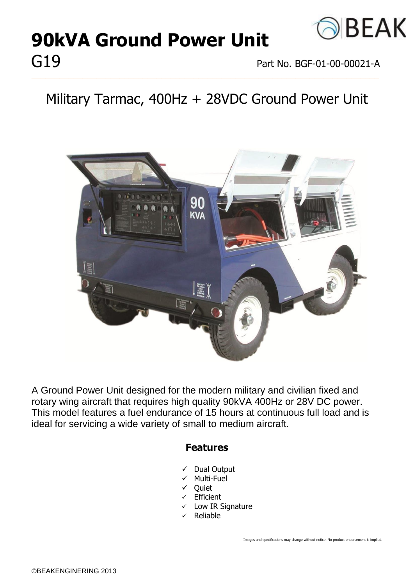

# **90kVA Ground Power Unit**

G19 Part No. BGF-01-00-00021-A

### Military Tarmac, 400Hz + 28VDC Ground Power Unit

**\_\_\_\_\_\_\_\_\_\_\_\_\_\_\_\_\_\_\_\_\_\_\_\_\_\_\_\_\_\_\_\_\_\_\_\_\_\_\_\_\_\_\_\_\_\_\_\_\_\_\_\_\_\_\_\_\_\_\_\_\_\_\_\_\_\_\_\_\_\_\_\_\_\_\_**



A Ground Power Unit designed for the modern military and civilian fixed and rotary wing aircraft that requires high quality 90kVA 400Hz or 28V DC power. This model features a fuel endurance of 15 hours at continuous full load and is ideal for servicing a wide variety of small to medium aircraft.

### **Features**

- $\checkmark$  Dual Output
- $\checkmark$  Multi-Fuel
- $\checkmark$  Quiet
- $\checkmark$  Efficient
- $\checkmark$  Low IR Signature
- $\checkmark$  Reliable